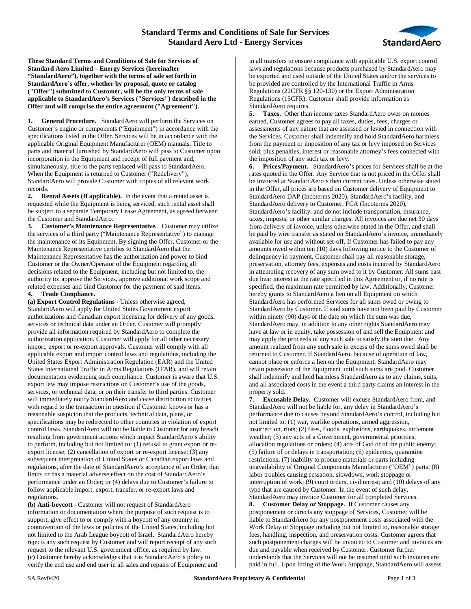

**These Standard Terms and Conditions of Sale for Services of Standard Aero Limited – Energy Services (hereinafter "StandardAero"), together with the terms of sale set forth in StandardAero's offer, whether by proposal, quote or catalog ("Offer") submitted to Customer, will be the only terms of sale applicable to StandardAero's Services ("Services") described in the Offer and will comprise the entire agreement ("Agreement").**

**1. General Procedure.** StandardAero will perform the Services on Customer's engine or components ("Equipment") in accordance with the specifications listed in the Offer. Services will be in accordance with the applicable Original Equipment Manufacturer (OEM) manuals. Title to parts and material furnished by StandardAero will pass to Customer upon incorporation in the Equipment and receipt of full payment and, simultaneously, title to the parts replaced will pass to StandardAero. When the Equipment is returned to Customer ("Redelivery"), StandardAero will provide Customer with copies of all relevant work records.

**2. Rental Assets (If applicable).** In the event that a rental asset is requested while the Equipment is being serviced, such rental asset shall be subject to a separate Temporary Lease Agreement, as agreed between the Customer and StandardAero.

**3. Customer's Maintenance Representative.** Customer may utilize the services of a third party ("Maintenance Representative") to manage the maintenance of its Equipment. By signing the Offer, Customer or the Maintenance Representative certifies to StandardAero that the Maintenance Representative has the authorization and power to bind Customer or the Owner/Operator of the Equipment regarding all decisions related to the Equipment, including but not limited to, the authority to: approve the Services, approve additional work scope and related expenses and bind Customer for the payment of said items.

## **4. Trade Compliance.**

**(a) Export Control Regulations -** Unless otherwise agreed, StandardAero will apply for United States Government export authorizations and Canadian export licensing for delivery of any goods, services or technical data under an Order. Customer will promptly provide all information required by StandardAero to complete the authorization application. Customer will apply for all other necessary import, export or re-export approvals. Customer will comply with all applicable export and import control laws and regulations, including the United States Export Administration Regulation (EAR) and the United States International Traffic in Arms Regulations (ITAR), and will retain documentation evidencing such compliance. Customer is aware that U.S. export law may impose restrictions on Customer's use of the goods, services, or technical data, or on their transfer to third parties. Customer will immediately notify StandardAero and cease distribution activities with regard to the transaction in question if Customer knows or has a reasonable suspicion that the products, technical data, plans, or specifications may be redirected to other countries in violation of export control laws. StandardAero will not be liable to Customer for any breach resulting from government actions which impact StandardAero's ability to perform, including but not limited to: (1) refusal to grant export or reexport license; (2) cancellation of export or re-export license; (3) any subsequent interpretation of United States or Canadian export laws and regulations, after the date of StandardAero's acceptance of an Order, that limits or has a material adverse effect on the cost of StandardAero's performance under an Order; or (4) delays due to Customer's failure to follow applicable import, export, transfer, or re-export laws and regulations.

**(b) Anti-boycott -** Customer will not request of StandardAero information or documentation where the purpose of such request is to support, give effect to or comply with a boycott of any country in contravention of the laws or policies of the United States, including but not limited to the Arab League boycott of Israel. StandardAero hereby rejects any such request by Customer and will report receipt of any such request to the relevant U.S. government office, as required by law. **(c)** Customer hereby acknowledges that it is StandardAero's policy to verify the end use and end user in all sales and repairs of Equipment and in all transfers to ensure compliance with applicable U.S. export control laws and regulations because products purchased by StandardAero may be exported and used outside of the United States and/or the services to be provided are controlled by the International Traffic in Arms Regulations (22CFR §§ 120-130) or the Export Administration Regulations (15CFR). Customer shall provide information as StandardAero requires.

**5. Taxes.** Other than income taxes StandardAero owes on monies earned, Customer agrees to pay all taxes, duties, fees, charges or assessments of any nature that are assessed or levied in connection with the Services. Customer shall indemnify and hold StandardAero harmless from the payment or imposition of any tax or levy imposed on Services sold, plus penalties, interest or reasonable attorney's fees connected with the imposition of any such tax or levy.

**6. Prices/Payment.** StandardAero's prices for Services shall be at the rates quoted in the Offer. Any Service that is not priced in the Offer shall be invoiced at StandardAero's then current rates. Unless otherwise stated in the Offer, all prices are based on Customer delivery of Equipment to StandardAero DAP (Incoterms 2020), StandardAero's facility, and StandardAero delivery to Customer, FCA (Incoterms 2020), StandardAero's facility, and do not include transportation, insurance, taxes, imposts, or other similar charges. All invoices are due net 30 days from delivery of invoice, unless otherwise stated in the Offer, and shall be paid by wire transfer as stated on StandardAero's invoice, immediately available for use and without set-off. If Customer has failed to pay any amounts owed within ten (10) days following notice to the Customer of delinquency in payment, Customer shall pay all reasonable storage, preservation, attorney fees, expenses and costs incurred by StandardAero in attempting recovery of any sum owed to it by Customer. All sums past due bear interest at the rate specified in this Agreement or, if no rate is specified, the maximum rate permitted by law. Additionally, Customer hereby grants to StandardAero a lien on all Equipment on which StandardAero has performed Services for all sums owed or owing to StandardAero by Customer. If said sums have not been paid by Customer within ninety (90) days of the date on which the sum was due, StandardAero may, in addition to any other rights StandardAero may have at law or in equity, take possession of and sell the Equipment and may apply the proceeds of any such sale to satisfy the sum due. Any amount realized from any such sale in excess of the sums owed shall be returned to Customer. If StandardAero, because of operation of law, cannot place or enforce a lien on the Equipment, StandardAero may retain possession of the Equipment until such sums are paid. Customer shall indemnify and hold harmless StandardAero as to any claims, suits, and all associated costs in the event a third party claims an interest in the property sold.

**7. Excusable Delay.** Customer will excuse StandardAero from, and StandardAero will not be liable for, any delay in StandardAero's performance due to causes beyond StandardAero's control, including but not limited to: (1) war, warlike operations, armed aggression, insurrection, riots; (2) fires, floods, explosions, earthquakes, inclement weather; (3) any acts of a Government, governmental priorities, allocation regulations or orders; (4) acts of God or of the public enemy; (5) failure of or delays in transportation; (6) epidemics, quarantine restrictions; (7) inability to procure materials or parts including unavailability of Original Components Manufacturer ("OEM") parts; (8) labor troubles causing cessation, slowdown, work stoppage or interruption of work; (9) court orders, civil unrest; and (10) delays of any type that are caused by Customer. In the event of such delay, StandardAero may invoice Customer for all completed Services.

**8. Customer Delay or Stoppage.** If Customer causes any postponement or directs any stoppage of Services, Customer will be liable to StandardAero for any postponement costs associated with the Work Delay or Stoppage including but not limited to, reasonable storage fees, handling, inspection, and preservation costs. Customer agrees that such postponement charges will be invoiced to Customer and invoices are due and payable when received by Customer. Customer further understands that the Services will not be resumed until such invoices are paid in full. Upon lifting of the Work Stoppage, StandardAero will assess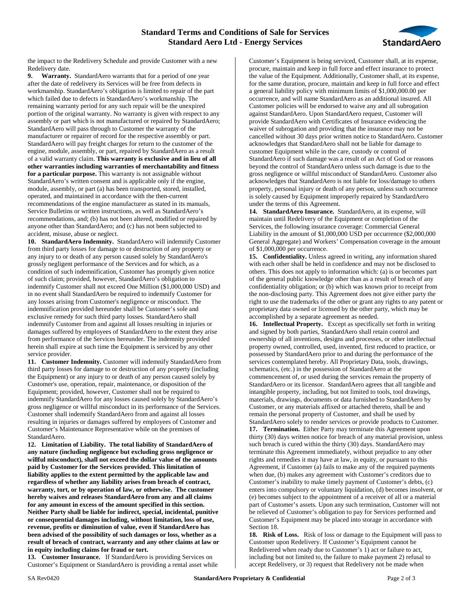## **Standard Terms and Conditions of Sale for Services Standard Aero Ltd - Energy Services**



the impact to the Redelivery Schedule and provide Customer with a new Redelivery date.

**9. Warranty.** StandardAero warrants that for a period of one year after the date of redelivery its Services will be free from defects in workmanship. StandardAero's obligation is limited to repair of the part which failed due to defects in StandardAero's workmanship. The remaining warranty period for any such repair will be the unexpired portion of the original warranty. No warranty is given with respect to any assembly or part which is not manufactured or repaired by StandardAero; StandardAero will pass through to Customer the warranty of the manufacturer or repairer of record for the respective assembly or part. StandardAero will pay freight charges for return to the customer of the engine, module, assembly, or part, repaired by StandardAero as a result of a valid warranty claim. **This warranty is exclusive and in lieu of all other warranties including warranties of merchantability and fitness for a particular purpose.** This warranty is not assignable without StandardAero's written consent and is applicable only if the engine, module, assembly, or part (a) has been transported, stored, installed, operated, and maintained in accordance with the then-current recommendations of the engine manufacturer as stated in its manuals, Service Bulletins or written instructions, as well as StandardAero's recommendations, and; (b) has not been altered, modified or repaired by anyone other than StandardAero; and (c) has not been subjected to accident, misuse, abuse or neglect.

**10. StandardAero Indemnity.** StandardAero will indemnify Customer from third party losses for damage to or destruction of any property or any injury to or death of any person caused solely by StandardAero's grossly negligent performance of the Services and for which, as a condition of such indemnification, Customer has promptly given notice of such claim; provided, however, StandardAero's obligation to indemnify Customer shall not exceed One Million (\$1,000,000 USD) and in no event shall StandardAero be required to indemnify Customer for any losses arising from Customer's negligence or misconduct. The indemnification provided hereunder shall be Customer's sole and exclusive remedy for such third party losses. StandardAero shall indemnify Customer from and against all losses resulting in injuries or damages suffered by employees of StandardAero to the extent they arise from performance of the Services hereunder. The indemnity provided herein shall expire at such time the Equipment is serviced by any other service provider.

**11. Customer Indemnity.** Customer will indemnify StandardAero from third party losses for damage to or destruction of any property (including the Equipment) or any injury to or death of any person caused solely by Customer's use, operation, repair, maintenance, or disposition of the Equipment; provided, however, Customer shall not be required to indemnify StandardAero for any losses caused solely by StandardAero's gross negligence or willful misconduct in its performance of the Services. Customer shall indemnify StandardAero from and against all losses resulting in injuries or damages suffered by employees of Customer and Customer's Maintenance Representative while on the premises of StandardAero.

**12. Limitation of Liability. The total liability of StandardAero of any nature (including negligence but excluding gross negligence or willful misconduct), shall not exceed the dollar value of the amounts paid by Customer for the Services provided. This limitation of liability applies to the extent permitted by the applicable law and regardless of whether any liability arises from breach of contract, warranty, tort, or by operation of law, or otherwise. The customer hereby waives and releases StandardAero from any and all claims for any amount in excess of the amount specified in this section. Neither Party shall be liable for indirect, special, incidental, punitive or consequential damages including, without limitation, loss of use, revenue, profits or diminution of value, even if StandardAero has been advised of the possibility of such damages or loss, whether as a result of breach of contract, warranty and any other claims at law or in equity including claims for fraud or tort.**

**13. Customer Insurance.** If StandardAero is providing Services on Customer's Equipment or StandardAero is providing a rental asset while

Customer's Equipment is being serviced, Customer shall, at its expense, procure, maintain and keep in full force and effect insurance to protect the value of the Equipment. Additionally, Customer shall, at its expense, for the same duration, procure, maintain and keep in full force and effect a general liability policy with minimum limits of \$1,000,000.00 per occurrence, and will name StandardAero as an additional insured. All Customer policies will be endorsed to waive any and all subrogation against StandardAero. Upon StandardAero request, Customer will provide StandardAero with Certificates of Insurance evidencing the waiver of subrogation and providing that the insurance may not be cancelled without 30 days prior written notice to StandardAero. Customer acknowledges that StandardAero shall not be liable for damage to customer Equipment while in the care, custody or control of StandardAero if such damage was a result of an Act of God or reasons beyond the control of StandardAero unless such damage is due to the gross negligence or willful misconduct of StandardAero. Customer also acknowledges that StandardAero is not liable for loss/damage to others property, personal injury or death of any person, unless such occurrence is solely caused by Equipment improperly repaired by StandardAero under the terms of this Agreement.

**14. StandardAero Insurance.** StandardAero, at its expense, will maintain until Redelivery of the Equipment or completion of the Services, the following insurance coverage: Commercial General Liability in the amount of \$1,000,000 USD per occurrence (\$2,000,000 General Aggregate) and Workers' Compensation coverage in the amount of \$1,000,000 per occurrence.

**15. Confidentiality.** Unless agreed in writing, any information shared with each other shall be held in confidence and may not be disclosed to others. This does not apply to information which: (a) is or becomes part of the general public knowledge other than as a result of breach of any confidentiality obligation; or (b) which was known prior to receipt from the non-disclosing party. This Agreement does not give either party the right to use the trademarks of the other or grant any rights to any patent or proprietary data owned or licensed by the other party, which may be accomplished by a separate agreement as needed.

**16. Intellectual Property.** Except as specifically set forth in writing and signed by both parties, StandardAero shall retain control and ownership of all inventions, designs and processes, or other intellectual property owned, controlled, used, invented, first reduced to practice, or possessed by StandardAero prior to and during the performance of the services contemplated hereby. All Proprietary Data, tools, drawings, schematics, (etc.) in the possession of StandardAero at the commencement of, or used during the services remain the property of StandardAero or its licensor. StandardAero agrees that all tangible and intangible property, including, but not limited to tools, tool drawings, materials, drawings, documents or data furnished to StandardAero by Customer, or any materials affixed or attached thereto, shall be and remain the personal property of Customer, and shall be used by StandardAero solely to render services or provide products to Customer.

**17. Termination.** Either Party may terminate this Agreement upon thirty (30) days written notice for breach of any material provision, unless such breach is cured within the thirty (30) days. StandardAero may terminate this Agreement immediately, without prejudice to any other rights and remedies it may have at law, in equity, or pursuant to this Agreement, if Customer (a) fails to make any of the required payments when due, (b) makes any agreement with Customer's creditors due to Customer's inability to make timely payment of Customer's debts, (c) enters into compulsory or voluntary liquidation, (d) becomes insolvent, or (e) becomes subject to the appointment of a receiver of all or a material part of Customer's assets. Upon any such termination, Customer will not be relieved of Customer's obligation to pay for Services performed and Customer's Equipment may be placed into storage in accordance with Section 18.

**18. Risk of Loss.** Risk of loss or damage to the Equipment will pass to Customer upon Redelivery. If Customer's Equipment cannot be Redelivered when ready due to Customer's 1) act or failure to act, including but not limited to, the failure to make payment 2) refusal to accept Redelivery, or 3) request that Redelivery not be made when